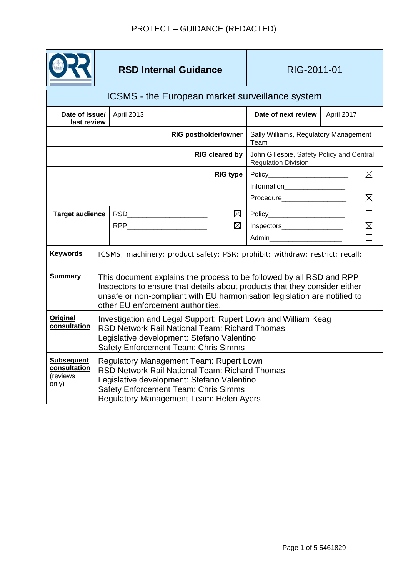

# **RSD Internal Guidance RIG-2011-01**

### ICSMS - the European market surveillance system April 2013 **Date of next review** April 2017 **Date of issue/ last review RIG postholder/owner** Sally Williams, Regulatory Management Team **RIG cleared by** John Gillespie, Safety Policy and Central Regulation Division **RIG** type | Policy  $\boxtimes$  $\Box$ Information\_\_\_\_\_\_\_\_\_\_\_\_\_\_\_\_ Procedure  $\boxtimes$ **Target audience** RSD  $\boxtimes$  $\Box$ Policy  $RPP$  $\boxtimes$ Inspectors\_\_\_\_\_\_\_\_\_\_\_\_\_\_\_\_  $\boxtimes$  $\Box$ Admin\_\_\_\_\_\_\_\_\_\_\_\_\_\_\_\_\_\_\_ **Keywords** ICSMS; machinery; product safety; PSR; prohibit; withdraw; restrict; recall; **Summary** This document explains the process to be followed by all RSD and RPP Inspectors to ensure that details about products that they consider either unsafe or non-compliant with EU harmonisation legislation are notified to other EU enforcement authorities. **Original Investigation and Legal Support: Rupert Lown and William Keag** RSD Network Rail National Team: Richard Thomas Legislative development: Stefano Valentino Safety Enforcement Team: Chris Simms **Subsequent**  Regulatory Management Team: Rupert Lown **consultation**  RSD Network Rail National Team: Richard Thomas (reviews Legislative development: Stefano Valentino only) Safety Enforcement Team: Chris Simms Regulatory Management Team: Helen Ayers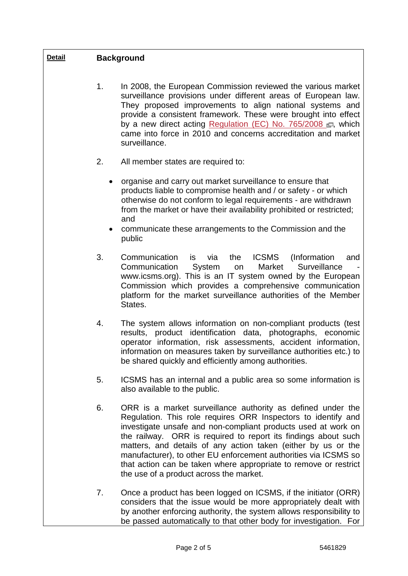| <b>Detail</b> | <b>Background</b>      |                                                                                                                                                                                                                                                                                                                                                                                                                                                                                                                    |
|---------------|------------------------|--------------------------------------------------------------------------------------------------------------------------------------------------------------------------------------------------------------------------------------------------------------------------------------------------------------------------------------------------------------------------------------------------------------------------------------------------------------------------------------------------------------------|
|               | 1.                     | In 2008, the European Commission reviewed the various market<br>surveillance provisions under different areas of European law.<br>They proposed improvements to align national systems and<br>provide a consistent framework. These were brought into effect<br>by a new direct acting Regulation (EC) No. 765/2008 F, which<br>came into force in 2010 and concerns accreditation and market<br>surveillance.                                                                                                     |
|               | 2.                     | All member states are required to:                                                                                                                                                                                                                                                                                                                                                                                                                                                                                 |
|               | $\bullet$<br>$\bullet$ | organise and carry out market surveillance to ensure that<br>products liable to compromise health and / or safety - or which<br>otherwise do not conform to legal requirements - are withdrawn<br>from the market or have their availability prohibited or restricted;<br>and<br>communicate these arrangements to the Commission and the<br>public                                                                                                                                                                |
|               | 3.                     | ICSMS<br>Communication<br>via<br>the<br>is<br>(Information)<br>and<br>Surveillance<br>Communication<br>System<br>Market<br>on<br>www.icsms.org). This is an IT system owned by the European<br>Commission which provides a comprehensive communication<br>platform for the market surveillance authorities of the Member<br>States.                                                                                                                                                                                |
|               | 4.                     | The system allows information on non-compliant products (test<br>results, product identification data, photographs, economic<br>operator information, risk assessments, accident information,<br>information on measures taken by surveillance authorities etc.) to<br>be shared quickly and efficiently among authorities.                                                                                                                                                                                        |
|               | 5.                     | ICSMS has an internal and a public area so some information is<br>also available to the public.                                                                                                                                                                                                                                                                                                                                                                                                                    |
|               | 6.                     | ORR is a market surveillance authority as defined under the<br>Regulation. This role requires ORR Inspectors to identify and<br>investigate unsafe and non-compliant products used at work on<br>the railway. ORR is required to report its findings about such<br>matters, and details of any action taken (either by us or the<br>manufacturer), to other EU enforcement authorities via ICSMS so<br>that action can be taken where appropriate to remove or restrict<br>the use of a product across the market. |
|               | 7.                     | Once a product has been logged on ICSMS, if the initiator (ORR)<br>considers that the issue would be more appropriately dealt with<br>by another enforcing authority, the system allows responsibility to<br>be passed automatically to that other body for investigation. For                                                                                                                                                                                                                                     |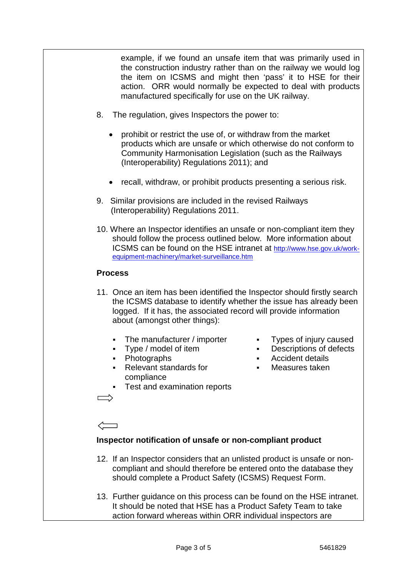example, if we found an unsafe item that was primarily used in the construction industry rather than on the railway we would log the item on ICSMS and might then 'pass' it to HSE for their action. ORR would normally be expected to deal with products manufactured specifically for use on the UK railway.

- 8. The regulation, gives Inspectors the power to:
	- prohibit or restrict the use of, or withdraw from the market products which are unsafe or which otherwise do not conform to Community Harmonisation Legislation (such as the Railways (Interoperability) Regulations 2011); and
	- recall, withdraw, or prohibit products presenting a serious risk.
- 9. Similar provisions are included in the revised Railways (Interoperability) Regulations 2011.
- 10. Where an Inspector identifies an unsafe or non-compliant item they should follow the process outlined below. More information about ICSMS can be found on the HSE intranet at http://www.hse.gov.uk/workequipment-machinery/market-surveillance.htm

## **Process**

- 11. Once an item has been identified the Inspector should firstly search the ICSMS database to identify whether the issue has already been logged. If it has, the associated record will provide information about (amongst other things):
	- The manufacturer / importer Types of injury caused
	-
	-
	- Relevant standards for compliance
- 
- Type / model of item Descriptions of defects
- Photographs Accident details
	- Measures taken
- Test and examination reports

## **Inspector notification of unsafe or non-compliant product**

- 12. If an Inspector considers that an unlisted product is unsafe or noncompliant and should therefore be entered onto the database they should complete a Product Safety (ICSMS) Request Form.
- 13. Further guidance on this process can be found on the HSE intranet. It should be noted that HSE has a Product Safety Team to take action forward whereas within ORR individual inspectors are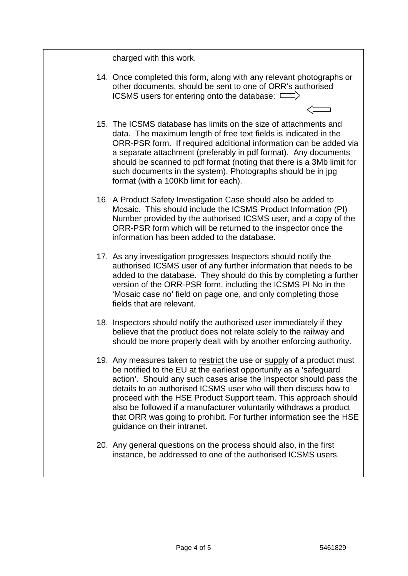charged with this work.

- 14. Once completed this form, along with any relevant photographs or other documents, should be sent to one of ORR's authorised ICSMS users for entering onto the database:  $\Box$
- 15. The ICSMS database has limits on the size of attachments and data. The maximum length of free text fields is indicated in the ORR-PSR form. If required additional information can be added via a separate attachment (preferably in pdf format). Any documents should be scanned to pdf format (noting that there is a 3Mb limit for such documents in the system). Photographs should be in jpg format (with a 100Kb limit for each).
- 16. A Product Safety Investigation Case should also be added to Mosaic. This should include the ICSMS Product Information (PI) Number provided by the authorised ICSMS user, and a copy of the ORR-PSR form which will be returned to the inspector once the information has been added to the database.
- 17. As any investigation progresses Inspectors should notify the authorised ICSMS user of any further information that needs to be added to the database. They should do this by completing a further version of the ORR-PSR form, including the ICSMS PI No in the 'Mosaic case no' field on page one, and only completing those fields that are relevant.
- 18. Inspectors should notify the authorised user immediately if they believe that the product does not relate solely to the railway and should be more properly dealt with by another enforcing authority.
- 19. Any measures taken to restrict the use or supply of a product must be notified to the EU at the earliest opportunity as a 'safeguard action'. Should any such cases arise the Inspector should pass the details to an authorised ICSMS user who will then discuss how to proceed with the HSE Product Support team. This approach should also be followed if a manufacturer voluntarily withdraws a product that ORR was going to prohibit. For further information see the HSE guidance on their intranet.
- 20. Any general questions on the process should also, in the first instance, be addressed to one of the authorised ICSMS users.